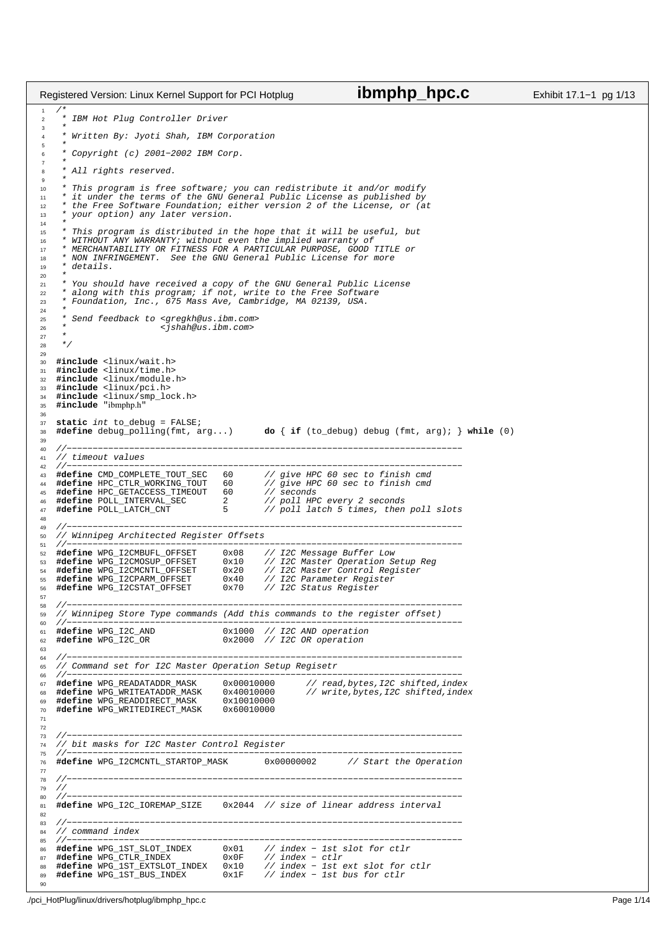```
1 / *
2 * IBM Hot Plug Controller Driver
3 *
        Written By: Jyoti Shah, IBM Corporation
\frac{5}{6}6 * Copyright (c) 2001−2002 IBM Corp.
7 *
8 * All rights reserved.
 9 *
10 * This program is free software; you can redistribute it and/or modify
11 * it under the terms of the GNU General Public License as published by
12 * the Free Software Foundation; either version 2 of the License, or (at
13 * your option) any later version.
\frac{14}{15}* This program is distributed in the hope that it will be useful, but
16 * WITHOUT ANY WARRANTY; without even the implied warranty of
17 * MERCHANTABILITY OR FITNESS FOR A PARTICULAR PURPOSE, GOOD TITLE or
<sup>18</sup> * NON INFRINGEMENT. See the GNU General Public License for more<br><sup>19</sup> * details.
        detajls.
rac{20}{21}* You should have received a copy of the GNU General Public License
22 * along with this program; if not, write to the Free Software
23 * Foundation, Inc., 675 Mass Ave, Cambridge, MA 02139, USA.
rac{24}{25}25 * Send feedback to <gregkh@us.ibm.com>
26 * <jshah@us.ibm.com>
27 *
28 */
29
30 #include <linux/wait.h>
31 #include <linux/time.h>
32 #include <linux/module.h>
33 #include <linux/pci.h>
34 #include <linux/smp_lock.h>
35 #include "ibmphp.h"
36
37 static int to_debug = FALSE;
                                                            38 #define debug_polling(fmt, arg...) do { if (to_debug) debug (fmt, arg); } while (0)
39
40 //−−−−−−−−−−−−−−−−−−−−−−−−−−−−−−−−−−−−−−−−−−−−−−−−−−−−−−−−−−−−−−−−−−−−−−−−−−−−
41 // timeout values<br>42 //----------------
42 //−−−−−−−−−−−−−−−−−−−−−−−−−−−−−−−−−−−−−−−−−−−−−−−−−−−−−−−−−−−−−−−−−−−−−−−−−−−−
43 #define CMD_COMPLETE_TOUT_SEC 60 // give HPC 60 sec to finish cmd
44 #define HPC_CTLR_WORKING_TOUT 60 // give HPC 60 sec to finish cmd
45 #define HPC_GETACCESS_TIMEOUT 60 // seconds
46 #define POLL_INTERVAL_SEC 2 // poll HPC every 2 seconds
47 #define POLL_LATCH_CNT 5 // poll latch 5 times, then poll slots
48<br>4949 //−−−−−−−−−−−−−−−−−−−−−−−−−−−−−−−−−−−−−−−−−−−−−−−−−−−−−−−−−−−−−−−−−−−−−−−−−−−−
50 // Winnipeg Architected Register Offsets
51 //−−−−−−−−−−−−−−−−−−−−−−−−−−−−−−−−−−−−−−−−−−−−−−−−−−−−−−−−−−−−−−−−−−−−−−−−−−−−
% #define WPG_I2CMBUFL_OFFSET 0x08 // I2C Message Buffer Low<br>% #define WPG_I2CMOSUP_OFFSET 0x10 // I2C Master Operation Setup Reg<br># #define WPG_I2CMCNTL_OFFSET 0x20 // I2C Master Control Register<br>% #define WPG_I2CPARM_OFFS
56 #define WPG_I2CSTAT_OFFSET 0x70 // I2C Status Register
57
58 //−−−−−−−−−−−−−−−−−−−−−−−−−−−−−−−−−−−−−−−−−−−−−−−−−−−−−−−−−−−−−−−−−−−−−−−−−−−−
59 // Winnipeg Store Type commands (Add this commands to the register offset)
60 //−−−−−−−−−−−−−−−−−−−−−−−−−−−−−−−−−−−−−−−−−−−−−−−−−−−−−−−−−−−−−−−−−−−−−−−−−−−−
61 #define WPG_I2C_AND <br>62 #define WPG_I2C_OR <br>62000 // I2C OR operation
62 #define WPG_I2C_OR 0x2000 // I2C OR operation
63
64 //−−−−−−−−−−−−−−−−−−−−−−−−−−−−−−−−−−−−−−−−−−−−−−−−−−−−−−−−−−−−−−−−−−−−−−−−−−−−
65 // Command set for I2C Master Operation Setup Regisetr
66 //−−−−−−−−−−−−−−−−−−−−−−−−−−−−−−−−−−−−−−−−−−−−−−−−−−−−−−−−−−−−−−−−−−−−−−−−−−−−
67 #define WPG_READATADDR_MASK 0x00010000 // read,bytes,I2C shifted,index
                                                   0x40010000 // write,bytes,I2C shifted,index<br>0x10010000
69 #define WPG_READDIRECT_MASK 0x10010000
    #define WPG_WRITEDIRECT_MASK
71
72
73 //−−−−−−−−−−−−−−−−−−−−−−−−−−−−−−−−−−−−−−−−−−−−−−−−−−−−−−−−−−−−−−−−−−−−−−−−−−−−
74 // bit masks for I2C Master Control Register
75 //−−−−−−−−−−−−−−−−−−−−−−−−−−−−−−−−−−−−−−−−−−−−−−−−−−−−−−−−−−−−−−−−−−−−−−−−−−−−
76 #define WPG_I2CMCNTL_STARTOP_MASK 0x00000002 // Start the Operation
77
78 //−−−−−−−−−−−−−−−−−−−−−−−−−−−−−−−−−−−−−−−−−−−−−−−−−−−−−−−−−−−−−−−−−−−−−−−−−−−−
    \frac{1}{2}80 //−−−−−−−−−−−−−−−−−−−−−−−−−−−−−−−−−−−−−−−−−−−−−−−−−−−−−−−−−−−−−−−−−−−−−−−−−−−−
81 #define WPG_I2C_IOREMAP_SIZE 0x2044 // size of linear address interval
82
83 //−−−−−−−−−−−−−−−−−−−−−−−−−−−−−−−−−−−−−−−−−−−−−−−−−−−−−−−−−−−−−−−−−−−−−−−−−−−−
84 // command index<br>85 //----------------
85 //−−−−−−−−−−−−−−−−−−−−−−−−−−−−−−−−−−−−−−−−−−−−−−−−−−−−−−−−−−−−−−−−−−−−−−−−−−−−
86 #define WPG_1ST_SLOT_INDEX 0x01 // index − 1st slot for ctlr
87 #define WPG_CTLR_INDEX 0x0F // index − ctlr
88 #define WPG_1ST_EXTSLOT_INDEX 0x10 // index − 1st ext slot for ctlr
89 #define WPG_1ST_BUS_INDEX 0x1F // index − 1st bus for ctlr
Registered Version: Linux Kernel Support for PCI Hotplug ibmphp_hpc.c Exhibit 17.1−1 pg 1/13
```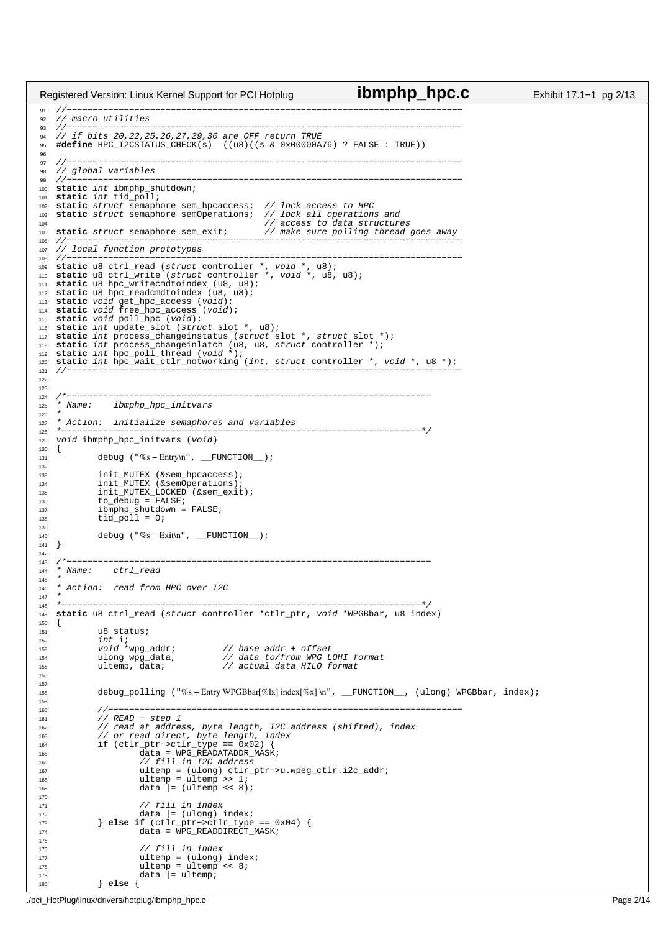//−−−−−−−−−−−−−−−−−−−−−−−−−−−−−−−−−−−−−−−−−−−−−−−−−−−−−−−−−−−−−−−−−−−−−−−−−−−− 92 // macro utilities<br>93 //---------------- //−−−−−−−−−−−−−−−−−−−−−−−−−−−−−−−−−−−−−−−−−−−−−−−−−−−−−−−−−−−−−−−−−−−−−−−−−−−− // if bits 20,22,25,26,27,29,30 are OFF return TRUE **#define** HPC\_I2CSTATUS\_CHECK(s) ((u8)((s & 0x00000A76) ? FALSE : TRUE)) //−−−−−−−−−−−−−−−−−−−−−−−−−−−−−−−−−−−−−−−−−−−−−−−−−−−−−−−−−−−−−−−−−−−−−−−−−−−− 98 // global variables<br>99 //----------------- //−−−−−−−−−−−−−−−−−−−−−−−−−−−−−−−−−−−−−−−−−−−−−−−−−−−−−−−−−−−−−−−−−−−−−−−−−−−− **static** int ibmphp\_shutdown; static int tid\_poll; <sup>102</sup> **static** struct semaphore sem\_hpcaccess; // lock access to HPC **static** struct semaphore semOperations; // lock all operations and <sup>104</sup> // access to data structures **static** struct semaphore sem\_exit; // make sure polling thread goes away //−−−−−−−−−−−−−−−−−−−−−−−−−−−−−−−−−−−−−−−−−−−−−−−−−−−−−−−−−−−−−−−−−−−−−−−−−−−− <sup>107</sup> // local function prototypes <sup>108</sup> //−−−−−−−−−−−−−−−−−−−−−−−−−−−−−−−−−−−−−−−−−−−−−−−−−−−−−−−−−−−−−−−−−−−−−−−−−−−− <sup>109</sup> **static** u8 ctrl\_read (struct controller \*, void \*, u8); <sup>110</sup> **static** u8 ctrl\_write (struct controller \*, void \*, u8, u8); **static** u8 hpc\_writecmdtoindex (u8, u8); **static** u8 hpc\_readcmdtoindex (u8, u8); <sup>113</sup> **static** void get\_hpc\_access (void); <sup>114</sup> **static** void free\_hpc\_access (void); **static** void poll\_hpc (void); **static** int update\_slot (struct slot \*, u8); **static** int process\_changeinstatus (struct slot \*, struct slot \*); <sup>118</sup> **static** int process\_changeinlatch (u8, u8, struct controller \*); **static** int hpc\_poll\_thread (void \*); **static** int hpc\_wait\_ctlr\_notworking (int, struct controller \*, void \*, u8 \*); //−−−−−−−−−−−−−−−−−−−−−−−−−−−−−−−−−−−−−−−−−−−−−−−−−−−−−−−−−−−−−−−−−−−−−−−−−−−− <br> $124$  /\*−−−−−−−−−−−−−−−−−−−−−−−−−−−−−−−−−−−−−−−−−−−−−−−−−−−−−−−−−−−−−−−−−−−−−− <sup>125</sup> \* Name: ibmphp\_hpc\_initvars \* \* Action: initialize semaphores and variables \*−−−−−−−−−−−−−−−−−−−−−−−−−−−−−−−−−−−−−−−−−−−−−−−−−−−−−−−−−−−−−−−−−−−−−\*/ void ibmphp\_hpc\_initvars (void) { 131 debug ("%s − Entry\n", \_\_FUNCTION\_); init\_MUTEX (&sem\_hpcaccess); <sup>134</sup> init\_MUTEX (&semOperations); init\_MUTEX\_LOCKED (&sem\_exit); <sup>136</sup> to\_debug = FALSE; 137  $\text{imphp\_shutdown} = \text{FALSE};$ <br>138  $\text{tid poll} = 0;$  $tid\_pol1 = 0;$  debug ("%s - Exit\n", \_FUNCTION\_); } 142<br>143 /\*−−−−−−−−−−−−−−−−−−−−−−−−−−−−−−−−−−−−−−−−−−−−−−−−−−−−−−−−−−−−−−−−−−−−−− \* Name: ctrl\_read \* \* Action: read from HPC over I2C \*<br> $149$  \* - \*−−−−−−−−−−−−−−−−−−−−−−−−−−−−−−−−−−−−−−−−−−−−−−−−−−−−−−−−−−−−−−−−−−−−−\*/ <sup>149</sup> **static** u8 ctrl\_read (struct controller \*ctlr\_ptr, void \*WPGBbar, u8 index) { u8 status; 152 int i;<br>153 void \*wpg\_addr; void \*wpg\_addr; // base addr + offset <sup>154</sup> ulong wpg\_data, // data to/from WPG LOHI format 154 ulong wpg\_data,  $\frac{1}{155}$  ultemp, data;  $\frac{1}{155}$  // actual data HILO format debug\_polling ("%s − Entry WPGBbar[%lx] index[%x] \n", \_\_FUNCTION\_\_, (ulong) WPGBbar, index); //−−−−−−−−−−−−−−−−−−−−−−−−−−−−−−−−−−−−−−−−−−−−−−−−−−−−−−−−−−−−−−−−−−−− // READ − step 1 <sup>162</sup> // read at address, byte length, I2C address (shifted), index // or read direct, byte length, index <sup>164</sup> **if** (ctlr\_ptr−>ctlr\_type == 0x02) { data = WPG\_READATADDR\_MASK; <sup>166</sup> // fill in I2C address ultemp = (ulong) ctlr\_ptr−>u.wpeg\_ctlr.i2c\_addr; ultemp = ultemp >> 1; <sup>169</sup> data |= (ultemp << 8);  $\frac{171}{171}$  // fill in index data |= (ulong) index; <sup>173</sup> } **else if** (ctlr\_ptr−>ctlr\_type == 0x04) { 174 data = WPG\_READDIRECT\_MASK; // fill in index<br> $177$  ultemp = (ulong) 177 ultemp = (ulong) index;<br>178 ultemp = ultemp << 8; ultemp = ultemp << 8;<br> $179$  data = ultemp;  $data$  = ultemp; } **else** { Registered Version: Linux Kernel Support for PCI Hotplug **ibmphp\_hpc.c** Exhibit 17.1−1 pg 2/13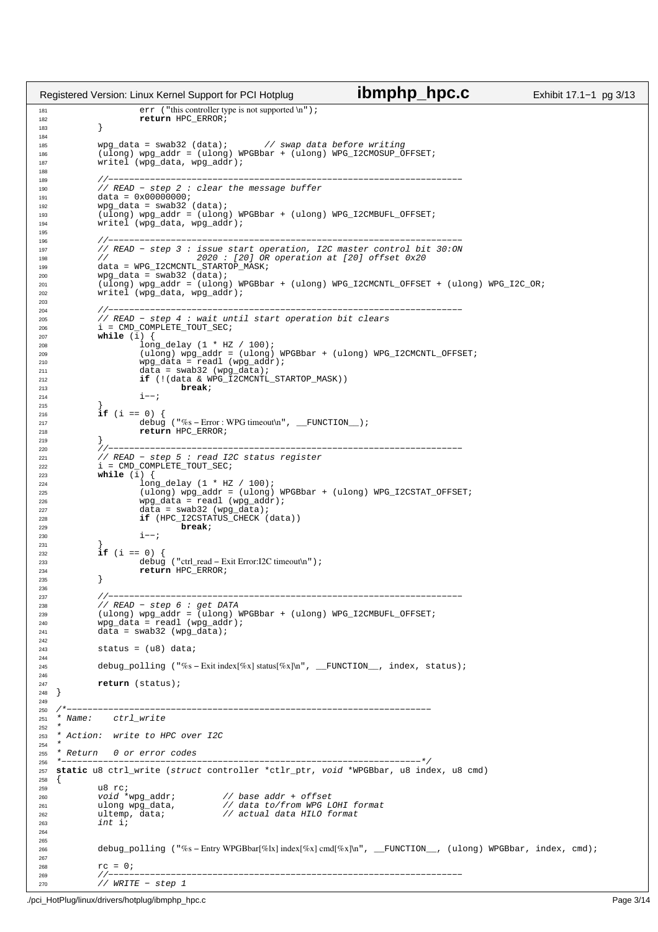181 err ("this controller type is not supported \n");<br>
182 return HPC ERROR; <sup>192</sup> return HPC\_ERROR; } <sup>185</sup> wpg\_data = swab32 (data); // swap data before writing (ulong) wpg\_addr = (ulong) WPGBbar + (ulong) WPG\_I2CMOSUP\_OFFSET; 187 writel (wpg\_data, wpg\_addr); //−−−−−−−−−−−−−−−−−−−−−−−−−−−−−−−−−−−−−−−−−−−−−−−−−−−−−−−−−−−−−−−−−−−− <sup>190</sup> // READ − step 2 : clear the message buffer data = 0x00000000; 192 wpg\_data = swab32 (data);<br>193 (ulong) wpg addr = (ulong) 193 (ulong) wpg\_addr = (ulong) WPGBbar + (ulong) WPG\_I2CMBUFL\_OFFSET;<br>194 writel (wpq data, wpq addr);  $w$ ritel (wpg\_data, wpg\_addr); //−−−−−−−−−−−−−−−−−−−−−−−−−−−−−−−−−−−−−−−−−−−−−−−−−−−−−−−−−−−−−−−−−−−− <sup>197</sup> // READ − step 3 : issue start operation, I2C master control bit 30:ON 198  $\frac{1}{2020}$  :  $\frac{1}{201}$  OR operation at  $\frac{1}{201}$  offset 0x20 data = WPG I2CMCNTL STARTOP MASK; 199 data = WPG\_I2CMCNTL\_STARTOP\_MASK;<br>200 wpg data = swab32 (data); wpg\_data = swab32 (data);<br> $201$  (ulong) wpg addr = (ulong)  $(\overline{u} \overline{0} \text{mg})$  wpg\_addr = (ulong) WPGBbar + (ulong) WPG\_I2CMCNTL\_OFFSET + (ulong) WPG\_I2C\_OR; writel (wpg\_data, wpg\_addr); //−−−−−−−−−−−−−−−−−−−−−−−−−−−−−−−−−−−−−−−−−−−−−−−−−−−−−−−−−−−−−−−−−−−− <sup>205</sup> // READ − step 4 : wait until start operation bit clears <sup>206</sup> i = CMD\_COMPLETE\_TOUT\_SEC; **while**  $(\overline{i})$  {<br> $208$  long  $\log_{10}$ delay (1 \* HZ / 100); (ulong) wpg\_addr = (ulong) WPGBbar + (ulong) WPG\_I2CMCNTL\_OFFSET; <sup>210</sup> wpg\_data = readl (wpg\_addr); data = swab32 (wpg\_data); <sup>212</sup> **if** (!(data & WPG\_I2CMCNTL\_STARTOP\_MASK)) 213 **break**;<br> $i - i$  i−−;  $rac{215}{216}$ **if** (i == 0) { 217 debug ("%s – Error : WPG timeout\n", \_\_FUNCTION\_);<br>218 return HPC\_ERROR; **return** HPC\_ERROR;  $\begin{array}{c} 219 \\ 220 \end{array}$   $\begin{array}{c} \end{array}$  //−−−−−−−−−−−−−−−−−−−−−−−−−−−−−−−−−−−−−−−−−−−−−−−−−−−−−−−−−−−−−−−−−−−− <sup>221</sup> // READ − step 5 : read I2C status register <sup>222</sup> i = CMD\_COMPLETE\_TOUT\_SEC; **while** (i) { long\_delay  $(1 * HZ / 100)$ ;<br> $225$   $(ulong)$  wpg addr =  $(ulong)$  (ulong) wpg\_addr = (ulong) WPGBbar + (ulong) WPG\_I2CSTAT\_OFFSET; <sup>226</sup> wpg\_data = readl (wpg\_addr); 227 data = swab32 (wpg\_data);<br>228 **if** (HPC I2CSTATUS CHECK) <sup>228</sup> **if** (HPC\_I2CSTATUS\_CHECK (data)) **break**;  $3 - -;$  $\Big\}$  **if** (i == 0) {<br>  $233$  debug debug ("ctrl\_read − Exit Error:I2C timeout\n"); **return** HPC\_ERROR;  $\}$  //−−−−−−−−−−−−−−−−−−−−−−−−−−−−−−−−−−−−−−−−−−−−−−−−−−−−−−−−−−−−−−−−−−−− <sup>238</sup> // READ − step 6 : get DATA <sup>239</sup> (ulong) wpg\_addr = (ulong) WPGBbar + (ulong) WPG\_I2CMBUFL\_OFFSET; wpg\_data = readl (wpg\_addr); <sup>241</sup> data = swab32 (wpg\_data); status =  $( u8 )$  data; debug\_polling ("%s − Exit index[%x] status[%x]\n", \_\_FUNCTION\_\_, index, status); **return** (status);  $\rightarrow$  /\*−−−−−−−−−−−−−−−−−−−−−−−−−−−−−−−−−−−−−−−−−−−−−−−−−−−−−−−−−−−−−−−−−−−−−− \* Name: ctrl\_write 252<br>253 \* Action: write to HPC over I2C \* \* Return 0 or error codes \*−−−−−−−−−−−−−−−−−−−−−−−−−−−−−−−−−−−−−−−−−−−−−−−−−−−−−−−−−−−−−−−−−−−−−\*/ <sup>257</sup> **static** u8 ctrl\_write (struct controller \*ctlr\_ptr, void \*WPGBbar, u8 index, u8 cmd) {<br>259 u8 rc;<br>*void* \*wpg\_addr;<br>ulong wpg\_data, void \*wpg\_addr; // base addr + offset <sup>261</sup> ulong wpg\_data, // data to/from WPG LOHI format 262 ultemp, data;  $\frac{1}{263}$  // actual data HILO format  $int$  int debug\_polling ("%s − Entry WPGBbar[%lx] index[%x] cmd[%x]\n", \_\_FUNCTION\_\_, (ulong) WPGBbar, index, cmd); 268  $TC = 0;$ <br>269  $//$  //−−−−−−−−−−−−−−−−−−−−−−−−−−−−−−−−−−−−−−−−−−−−−−−−−−−−−−−−−−−−−−−−−−−− // WRITE − step 1 Registered Version: Linux Kernel Support for PCI Hotplug **ibmphp\_hpc.c** Exhibit 17.1−1 pg 3/13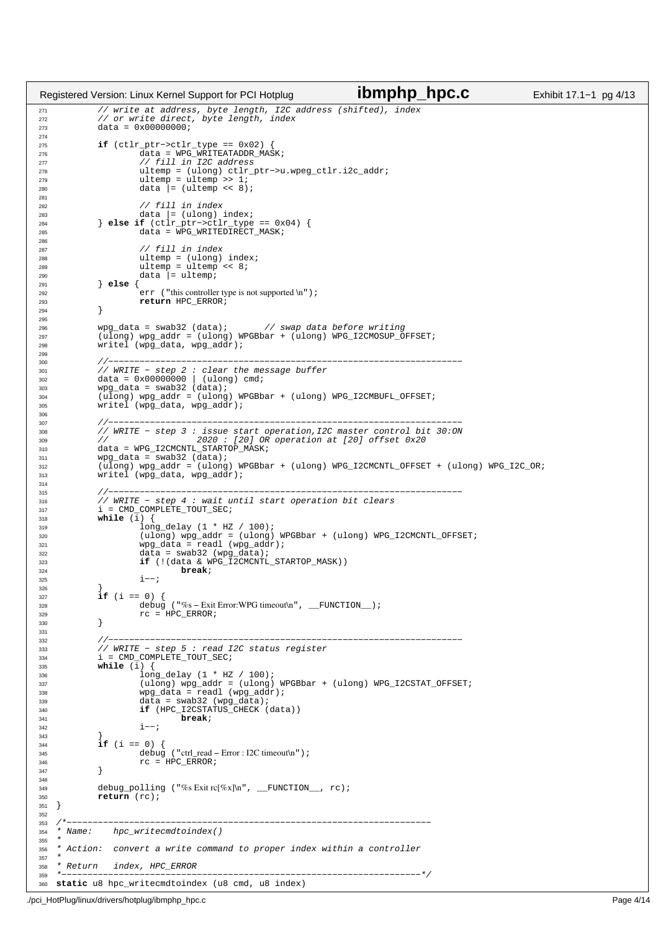```
271 // write at address, byte length, I2C address (shifted), index
272 // or write direct, byte length, index
273 data = 0 \times 000000000;
274
275 if (ctlr_ptr−>ctlr_type == 0x02) {
276 data = WPG_WRITEATADDR_MASK;
277 // fill in I2C address<br>278 ultemp = (ulong) ctlr p
278 ultemp = (ulong) ctlr_ptr->u.wpeg_ctlr.i2c_addr;<br>279 ultemp = ultemp >> 1;
279 ultemp = ultemp >> 1;<br>
280 data = (ultemp << 8)
                         data = (ultemp << 8);
281
282 // fill in index
283 data |= (ulong) index;<br>284 data |= (ulong) index;<br>284 else if (ctlr ptr->ctlr type
284 else if (ctlr_ptr->ctlr_type == 0x04) {<br>285 data = WPG_WRITEDIRECT_MASK;
286
287<br>288 1287 // fill in index<br>288 11 ultemp = (ulong)
288 ultemp = (ulong) index;
289 ultemp = ultemp << 8;
290 data = ultemp;<br>
291 else {
              291 } else {
292 err ("this controller type is not supported \n");
293 return HPC_ERROR;
294 }
295
296 wpg_data = swab32 (data); // swap data before writing
297 (ulong) wpg_addr = (ulong) WPGBbar + (ulong) WPG_I2CMOSUP_OFFSET;
298 writel (wpg_data, wpg_addr);
299
300 //−−−−−−−−−−−−−−−−−−−−−−−−−−−−−−−−−−−−−−−−−−−−−−−−−−−−−−−−−−−−−−−−−−−−
301 // WRITE − step 2 : clear the message buffer
302 data = 0x00000000 | (ulong) cmd;
\text{303} wpg_data = swab32 (data);<br>\text{304} (110ng) wpg addr = (110ng)
304 (ulong) wpg_addr = (ulong) WPGBbar + (ulong) WPG_I2CMBUFL_OFFSET;
              writel (wpg_data, wpg_addr);
306
307 //−−−−−−−−−−−−−−−−−−−−−−−−−−−−−−−−−−−−−−−−−−−−−−−−−−−−−−−−−−−−−−−−−−−−
308 // WRITE − step 3 : issue start operation,I2C master control bit 30:ON
309 // 2020 : [20] OR operation at [20] offset 0x20
310 data = WPG_I2CMCNTL_STARTOP_MASK;
311 wpg_data = swab32 (data);
312 (ulong) wpg_addr = (ulong) WPGBbar + (ulong) WPG_I2CMCNTL_OFFSET + (ulong) WPG_I2C_OR;
313 writel (wpg_data, wpg_addr);
314
315 //−−−−−−−−−−−−−−−−−−−−−−−−−−−−−−−−−−−−−−−−−−−−−−−−−−−−−−−−−−−−−−−−−−−−
316 // WRITE − step 4 : wait until start operation bit clears
\text{317} \text{i} = CMD_COMPLETE_TOUT_SEC;<br>
\text{318} while (i) {
\frac{318}{319} while \left(\frac{1}{1}\right) {
319 and 1 long_delay (1 * HZ / 100);<br>320 (ulong) wpg addr = (ulong)
320 (ulong) wpg_addr = (ulong) WPGBbar + (ulong) WPG_I2CMCNTL_OFFSET;
321 wpg_data = readl (wpg_addr);
\frac{322}{323} data = swab32 (wpg_data);<br>\frac{323}{323} if (!(data & WPG I2CMCNTL)
323 if (!(data & WPG_I2CMCNTL_STARTOP_MASK))<br>324 break;
324 break;<br>325 i -i;
                         i--;326 }
              if (i == 0) {
328 debug ("%s – Exit Error:WPG timeout\n", __FUNCTION_);<br>329 c = HPC ERROR;
329<br>330<br>330<br>329\}331
332 //−−−−−−−−−−−−−−−−−−−−−−−−−−−−−−−−−−−−−−−−−−−−−−−−−−−−−−−−−−−−−−−−−−−−
333 // WRITE − step 5 : read I2C status register
i = \text{CMD\_COMPLE}TE_TOUT_SEC;
335 while (i) {
336 long_delay (1 * HZ / 100);<br>337 (ulong) wpq addr = (ulong)
337 (ulong) wpg_addr = (ulong) WPGBbar + (ulong) WPG_I2CSTAT_OFFSET;
\frac{\text{wpg\_data}}{\text{wpg\_data}} = \text{read} (\text{wpg\_addr});<br>
as
339 data = swab32 (wpg_data);
340 if (HPC_I2CSTATUS_CHECK (data))
341 break;<br>1 - i3 - -;343 }
              if (i == 0) {
345 debug ("ctrl_read − Error : I2C timeout\n");
346 rc = HPC_ERROR;
347 }
348
349 debug_polling ("%s Exit rc[%x]\n", __FUNCTION__, rc);
350 return (rc);
351}
352
353 /*−−−−−−−−−−−−−−−−−−−−−−−−−−−−−−−−−−−−−−−−−−−−−−−−−−−−−−−−−−−−−−−−−−−−−−
354 * Name: hpc_writecmdtoindex()
355 *
356 * Action: convert a write command to proper index within a controller
357 *<br>358 * Return
358 * Return index, HPC_ERROR
                                                            359 *−−−−−−−−−−−−−−−−−−−−−−−−−−−−−−−−−−−−−−−−−−−−−−−−−−−−−−−−−−−−−−−−−−−−−*/
360 static u8 hpc_writecmdtoindex (u8 cmd, u8 index)
Registered Version: Linux Kernel Support for PCI Hotplug ibmphp_hpc.c Exhibit 17.1−1 pg 4/13
```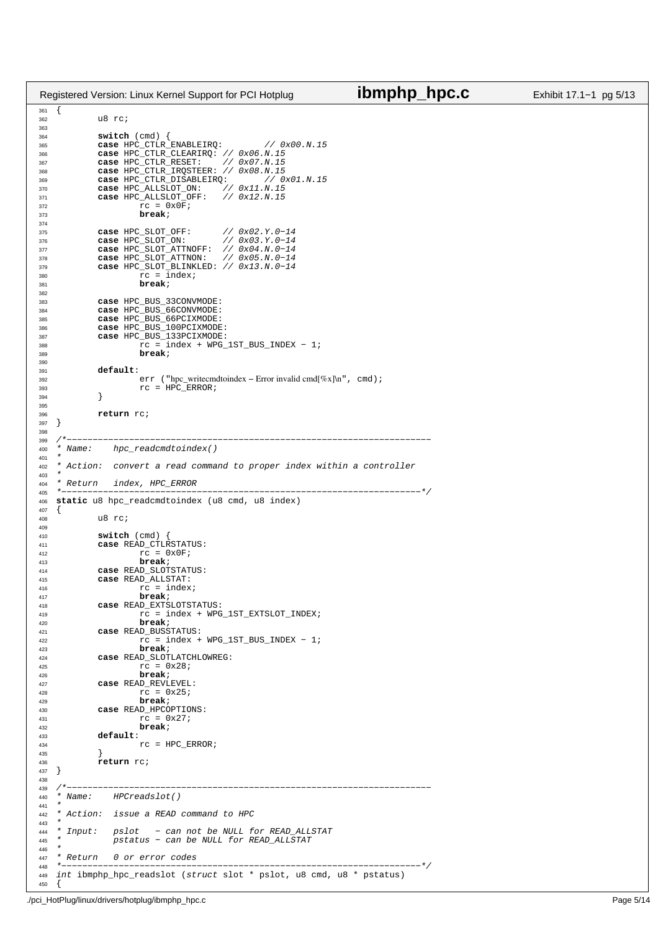| Registered Version: Linux Kernel Support for PCI Hotplug                               | ibmphp_hpc.c                  | Exhibit 17.1-1 pg 5/13 |
|----------------------------------------------------------------------------------------|-------------------------------|------------------------|
| 361<br>$\mathcal{L}$<br>u8 rc;<br>362                                                  |                               |                        |
| 363                                                                                    |                               |                        |
| $switch$ (cmd) {<br>364                                                                |                               |                        |
| case HPC_CTLR_ENABLEIRQ:<br>// 0x00.N.15<br>365                                        |                               |                        |
| case HPC_CTLR_CLEARIRQ: // 0x06.N.15<br>366                                            |                               |                        |
| case HPC_CTLR_RESET:<br>// 0x07.N.15<br>367                                            |                               |                        |
| case HPC_CTLR_IRQSTEER: // 0x08.N.15<br>368                                            |                               |                        |
| case HPC_CTLR_DISABLEIRQ:<br>// 0x01.N.15<br>369                                       |                               |                        |
| case HPC_ALLSLOT_ON:<br>// 0x11.N.15<br>370<br>case HPC_ALLSLOT_OFF:<br>$//$ 0x12.N.15 |                               |                        |
| 371<br>$rc = 0x0F$<br>372                                                              |                               |                        |
| break;<br>373                                                                          |                               |                        |
| 374                                                                                    |                               |                        |
| case HPC_SLOT_OFF:<br>375                                                              |                               |                        |
| // $0x02.1.0 - 12$<br>// $0x03.1.0 - 14$<br>case HPC_SLOT_ON:<br>376                   |                               |                        |
| case HPC_SLOT_ATTNOFF: // 0x04.N.0-14<br>377                                           |                               |                        |
| case HPC_SLOT_ATTNON: $//$ 0x05.N.0-14<br>378                                          |                               |                        |
| case HPC_SLOT_BLINKLED: $//$ 0x13.N.0-14<br>379<br>$rc = index$                        |                               |                        |
| 380<br>break;<br>381                                                                   |                               |                        |
| 382                                                                                    |                               |                        |
| case HPC_BUS_33CONVMODE:<br>383                                                        |                               |                        |
| case HPC_BUS_66CONVMODE:<br>384                                                        |                               |                        |
| case HPC_BUS_66PCIXMODE:<br>385                                                        |                               |                        |
| case HPC_BUS_100PCIXMODE:<br>386                                                       |                               |                        |
| case HPC_BUS_133PCIXMODE:<br>387<br>$rc = index + WPG_1ST_BUS_1NDEX - 1$               |                               |                        |
| 388<br>break;<br>389                                                                   |                               |                        |
| 390                                                                                    |                               |                        |
| default:<br>391                                                                        |                               |                        |
| err ("hpc_writecmdtoindex – Error invalid cmd[%x]\n", cmd) ;<br>392                    |                               |                        |
| $rc = HPC_ERROR$<br>393                                                                |                               |                        |
| }<br>394                                                                               |                               |                        |
| 395                                                                                    |                               |                        |
| return rc;<br>396<br>397                                                               |                               |                        |
| 398                                                                                    |                               |                        |
| 399                                                                                    |                               |                        |
| *<br>hpc_readcmdtoindex()<br>Name:<br>400                                              |                               |                        |
| 401                                                                                    |                               |                        |
| Action: convert a read command to proper index within a controller<br>402<br>403       |                               |                        |
| Return index, HPC_ERROR<br>404                                                         |                               |                        |
| 405                                                                                    | --------------------------* / |                        |
| static u8 hpc_readcmdtoindex (u8 cmd, u8 index)<br>406                                 |                               |                        |
| $\{$<br>407<br>u8 rc;                                                                  |                               |                        |
| 408<br>409                                                                             |                               |                        |
| $switch$ (cmd) {<br>410                                                                |                               |                        |
| case READ CTLRSTATUS:<br>411                                                           |                               |                        |
| $rc = 0x0F$<br>412                                                                     |                               |                        |
| break;<br>413                                                                          |                               |                        |
| case READ_SLOTSTATUS:<br>414                                                           |                               |                        |
| case READ_ALLSTAT:<br>415                                                              |                               |                        |
| $rc = index$<br>416<br>break;<br>417                                                   |                               |                        |
| case READ_EXTSLOTSTATUS:<br>418                                                        |                               |                        |
| $rc = index + WPG_1ST_EXTSLOT_INDEX;$<br>419                                           |                               |                        |
| break;<br>420                                                                          |                               |                        |
| case READ_BUSSTATUS:<br>421                                                            |                               |                        |
| $rc = index + WPG_1ST_BUS_1NDEX - 1$<br>422                                            |                               |                        |
| break;<br>423                                                                          |                               |                        |
| case READ_SLOTLATCHLOWREG:<br>424                                                      |                               |                        |
| $rc = 0x28$<br>425<br>break;<br>426                                                    |                               |                        |
| case READ REVLEVEL:<br>427                                                             |                               |                        |
| $rc = 0x25;$<br>428                                                                    |                               |                        |
| break;<br>429                                                                          |                               |                        |
| case READ_HPCOPTIONS:<br>430                                                           |                               |                        |
| $rc = 0x27$<br>431                                                                     |                               |                        |
| break;<br>432                                                                          |                               |                        |
| default:<br>433<br>$rc = HPC_ERROR$<br>434                                             |                               |                        |
| $\mathbf{r}$<br>435                                                                    |                               |                        |
| return rc;<br>436                                                                      |                               |                        |
| 437                                                                                    |                               |                        |
| 438                                                                                    |                               |                        |
| 439<br>$*$ Name:<br>HPCreadslot()<br>440                                               |                               |                        |
| 441                                                                                    |                               |                        |
| Action: issue a READ command to HPC<br>442                                             |                               |                        |
| 443                                                                                    |                               |                        |
| * Input: pslot - can not be NULL for READ_ALLSTAT<br>444                               |                               |                        |
| pstatus - can be NULL for READ_ALLSTAT<br>445                                          |                               |                        |
| 446<br>* Return 0 or error codes<br>447                                                |                               |                        |
| 448                                                                                    |                               |                        |
| int ibmphp_hpc_readslot (struct slot * pslot, u8 cmd, u8 * pstatus)<br>449<br>450      |                               |                        |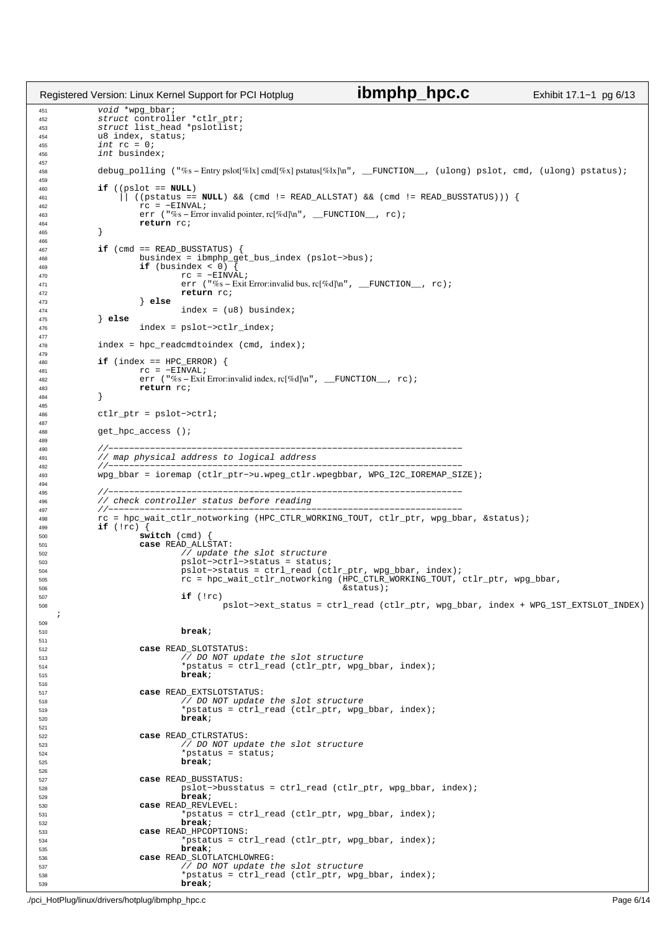```
451 void *wpg_bbar;
452 struct controller *ctlr_ptr;
453 struct list_head *pslotlist;<br>454 as struct list_head *pslotlist;
454 u8 index, status;<br>455 int rc = 0;
455 int \t{r} = 0;<br>456 int \t{b}u \sinhint busindex;
457
458 debug_polling ("%s − Entry pslot[%lx] cmd[%x] pstatus[%lx]\n", __FUNCTION__, (ulong) pslot, cmd, (ulong) pstatus);
459
460 if ((pslot == NULL)
                  461 || ((pstatus == NULL) && (cmd != READ_ALLSTAT) && (cmd != READ_BUSSTATUS))) {
462 rc = −EINVAL;
463 err ("%s − Error invalid pointer, rc[%d]\n", __FUNCTION__, rc);
464 return rc;
             \left\{ \right\}466<br>467
467 if (cmd == READ_BUSSTATUS) {<br>468 busindex = ibmphp qe
468 busindex = ibmphp_get_bus_index (pslot->bus);<br>469 if (busindex < 0) {
469 if (busindex < 0)<br>470 if (busindex < 0)<br>TC = -EIN470 rc = −EINVAL;
471 err ("%s − Exit Error:invalid bus, rc[%d]\n", __FUNCTION__, rc);
<sup>472</sup> return rc;<br>
<sup>473</sup> else
473 } else
474 \qquad \qquad \text{index} = (u8) \text{ busindex};475 } else
476 index = pslot−>ctlr_index;
477
478 index = hpc_readcmdtoindex (cmd, index);
479
480 if (index == HPC_ERROR) {
481 rc = −EINVAL;<br>482 err ("% – Exit
                      err ("%s – Exit Error:invalid index, rc[%d]\n", _FUNCTION_, rc);
483 return rc;<br>
484 1
484 }
485
486 ctlr ptr = pslot−>ctrl;
487
488 get_hpc_access ();
489
490 //−−−−−−−−−−−−−−−−−−−−−−−−−−−−−−−−−−−−−−−−−−−−−−−−−−−−−−−−−−−−−−−−−−−−
491 // map physical address to logical address
492 //−−−−−−−−−−−−−−−−−−−−−−−−−−−−−−−−−−−−−−−−−−−−−−−−−−−−−−−−−−−−−−−−−−−−
493 wpg_bbar = ioremap (ctlr_ptr−>u.wpeg_ctlr.wpegbbar, WPG_I2C_IOREMAP_SIZE);
494
495 //−−−−−−−−−−−−−−−−−−−−−−−−−−−−−−−−−−−−−−−−−−−−−−−−−−−−−−−−−−−−−−−−−−−−
496 // check controller status before reading
497 //−−−−−−−−−−−−−−−−−−−−−−−−−−−−−−−−−−−−−−−−−−−−−−−−−−−−−−−−−−−−−−−−−−−−
498 rc = hpc_wait_ctlr_notworking (HPC_CTLR_WORKING_TOUT, ctlr_ptr, wpg_bbar, &status);
499 if (!rc) {
500 switch (cmd) {
501 case READ_ALLSTAT:
\frac{7}{2} update the slot structure<br>box \frac{7}{2} update the slot structure
                               503 pslot−>ctrl−>status = status;
504 pslot−>status = ctrl_read (ctlr_ptr, wpg_bbar, index);
505 rc = hpc_wait_ctlr_notworking (HPC_CTLR_WORKING_TOUT, ctlr_ptr, wpg_bbar,
\frac{1}{2} 506 \frac{1}{2} \frac{1}{2} \frac{1}{2} \frac{1}{2} \frac{1}{2} \frac{1}{2} \frac{1}{2} \frac{1}{2} \frac{1}{2} \frac{1}{2} \frac{1}{2} \frac{1}{2} \frac{1}{2} \frac{1}{2} \frac{1}{2} \frac{1}{2} \frac{1}{2} \frac{1}{2} \frac{1}{2} \frac{1}{2} \frac{1}{2if (irc)508 pslot−>ext_status = ctrl_read (ctlr_ptr, wpg_bbar, index + WPG_1ST_EXTSLOT_INDEX)
    ;
509
510 break;
511
512 case READ_SLOTSTATUS:
                                \sqrt{7} DO NOT update the slot structure
514 *pstatus = ctrl_read (ctlr_ptr, wpg_bbar, index);
515 break;
516
517 case READ_EXTSLOTSTATUS:
518 \sqrt{7} DO NOT update the slot structure<br>
\frac{1}{7} \frac{1}{7} \frac{1}{7} \frac{1}{7} \frac{1}{7} \frac{1}{7} \frac{1}{7} \frac{1}{7} \frac{1}{7} \frac{1}{7} \frac{1}{7} \frac{1}{7} \frac{1}{7} \frac{1}{7} \frac{1}{7} \frac{1}{7} \frac{1}{7} \frac{1*pstatus = ctrl_read (ctlr_ptr, wpg_bbar, index);
520 break;
521
522 case READ_CTLRSTATUS:
                                \sqrt{7} DO NOT update the slot structure
524 *pstatus = status;
525 break;
526
527 case READ_BUSSTATUS:
                               528 pslot−>busstatus = ctrl_read (ctlr_ptr, wpg_bbar, index);
529 break;
                      530 case READ_REVLEVEL:
*pstatus = ctrl_read (ctlr_ptr, wpg_bbar, index);<br>
break;
532 break;
533 case READ_HPCOPTIONS:
                                =_------------<br>*pstatus = ctrl_read (ctlr_ptr, wpg_bbar, index);
535 break;<br>536 break)
536 case READ_SLOTLATCHLOWREG:<br>537 case READ_SLOTLATCHLOWREG:
537 \sqrt{7} DO NOT update the slot structure<br>
\frac{1}{7} \frac{1}{7} \frac{1}{7} \frac{1}{7} \frac{1}{7} \frac{1}{7} \frac{1}{7} \frac{1}{7} \frac{1}{7} \frac{1}{7} \frac{1}{7} \frac{1}{7} \frac{1}{7} \frac{1}{7} \frac{1}{7} \frac{1}{7} \frac{1}{7} \frac{1*pstatus = ctrl_read (ctlr_ptr, wpg_bbar, index);
539 break;
Registered Version: Linux Kernel Support for PCI Hotplug ibmphp_hpc.c Exhibit 17.1−1 pg 6/13
```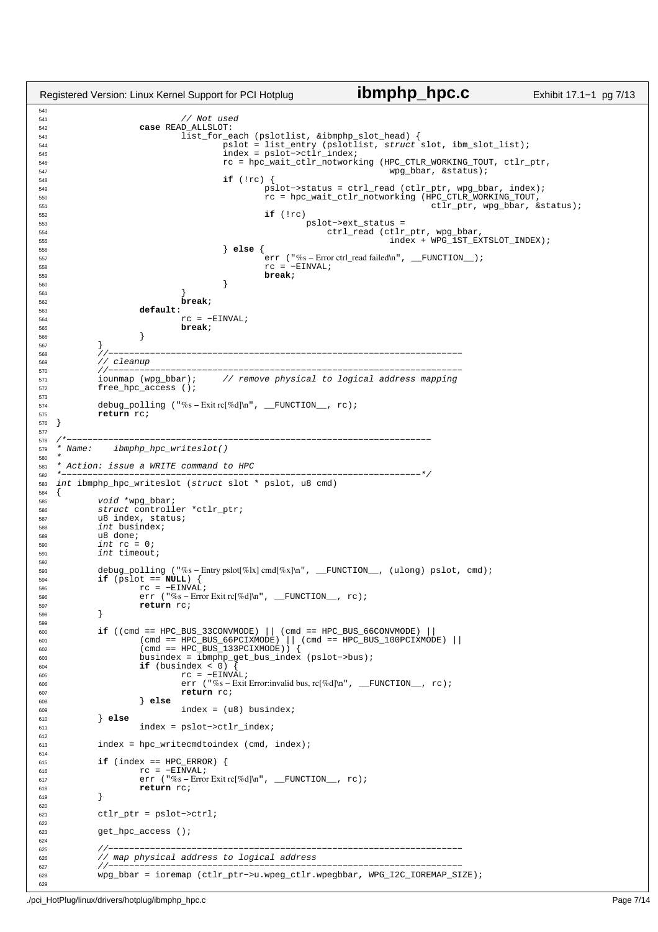```
540
541 // Not used
542 case READ_ALLSLOT:
                        list_for_each (pslotlist, &ibmphp_slot_head) {
544 pslot = list_entry (pslotlist, struct slot, ibm_slot_list);
545 index = pslot−>ctlr_index;
rc = \text{hpc\_wait\_ctlr\_notworking} (HPC_CTLR_WORKING_TOUT, ctlr_ptr, \text{wpg\_bbar}, & status);
\frac{1}{2} wpg_bbar, &status);<br>\frac{1}{2} wpg_bbar, &status);
548 if (!rc) {
549 pslot−>status = ctrl_read (ctlr_ptr, wpg_bbar, index);
550 rc = hpc_wait_ctlr_notworking (HPC_CTLR_WORKING_TOUT,
\frac{1}{15} ctlr_ptr, wpg_bbar, &status);<br>
\frac{1}{15} (!rc)
552 if (!rc)
553 pslot−>ext_status =
554 ctrl_read (ctlr_ptr, wpg_bbar,
555 index + WPG_1ST_EXTSLOT_INDEX);
556 } else {
557 err ("%s – Error ctrl_read failed\n", __FUNCTION_);<br>TC = -FINVAI.;
558 \text{rc} = -\text{EINVAL};<br>559 break;
559 break;
560 }
561 }
562 break;
563 default:
                        rc = -ETNVAI;
565 break;
566 }
567 }
568 //−−−−−−−−−−−−−−−−−−−−−−−−−−−−−−−−−−−−−−−−−−−−−−−−−−−−−−−−−−−−−−−−−−−−
569 // cleanup
570 //−−−−−−−−−−−−−−−−−−−−−−−−−−−−−−−−−−−−−−−−−−−−−−−−−−−−−−−−−−−−−−−−−−−−
571 iounmap (wpg_bbar); // remove physical to logical address mapping
572 free_hpc_access ();
573
574 debug_polling ("%s – Exit rc[%d]\n", __FUNCTION__, rc);<br>575 return rc;
         575 return rc;
576 }
577
578 /*−−−−−−−−−−−−−−−−−−−−−−−−−−−−−−−−−−−−−−−−−−−−−−−−−−−−−−−−−−−−−−−−−−−−−−
579 * Name: ibmphp_hpc_writeslot()
580 *<br>581 *
    Action: issue a WRITE command to HPC
582 *−−−−−−−−−−−−−−−−−−−−−−−−−−−−−−−−−−−−−−−−−−−−−−−−−−−−−−−−−−−−−−−−−−−−−*/
   int ibmphp_hpc_writeslot (struct slot * pslot, u8 cmd)
584 {
585 void *wpg_bbar;<br>586 struct controll
586 struct controller *ctlr_ptr;<br>587 u8 index, status;
587 u8 index, status;<br>588 int busindex;
588 int busindex;<br>589 118 done;
         u8 done;
590 int \ r = 0;591 int timeout;
592
593 debug_polling ("%s − Entry pslot[%lx] cmd[%x]\n", __FUNCTION__, (ulong) pslot, cmd);
         if (pslot == NULL)r = -EINVAL;<br>
r = -EINVAL;<br>
r = -EINVAL;
596 err ("%s − Error Exit rc[%d]\n", __FUNCTION__, rc);
          return rc;
598 }
599
600 if ((cmd == HPC_BUS_33CONVMODE) || (cmd == HPC_BUS_66CONVMODE) ||
601 (cmd == HPC_BUS_66PCIXMODE) || (cmd == HPC_BUS_100PCIXMODE) ||
602 (cmd == HPC_BUS_133PCIXMODE)) {
603 busindex = ibmphp_get_bus_index (pslot−>bus);
604 if (busindex < 0) {
605 rc = −EINVAL;
606 err ("%s − Exit Error:invalid bus, rc[%d]\n", __FUNCTION__, rc);
607 return rc;<br>608 else
608 } else
                        index = (u8) busindex;
610 } else
                 611 index = pslot−>ctlr_index;
612
613 index = hpc_writecmdtoindex (cmd, index);
614
615 if (index == HPC_ERROR) {
616 rc = −EINVAL;
617 err ("%s − Error Exit rc[%d]\n", __FUNCTION__, rc);
618 return rc;
619 }
620
621 ctlr_ptr = pslot−>ctrl;
622
623 get_hpc_access ();
624
625 //−−−−−−−−−−−−−−−−−−−−−−−−−−−−−−−−−−−−−−−−−−−−−−−−−−−−−−−−−−−−−−−−−−−−
626 // map physical address to logical address
627 //−−−−−−−−−−−−−−−−−−−−−−−−−−−−−−−−−−−−−−−−−−−−−−−−−−−−−−−−−−−−−−−−−−−−
628 wpg_bbar = ioremap (ctlr_ptr−>u.wpeg_ctlr.wpegbbar, WPG_I2C_IOREMAP_SIZE);
629
Registered Version: Linux Kernel Support for PCI Hotplug ibmphp_hpc.c Exhibit 17.1−1 pg 7/13
```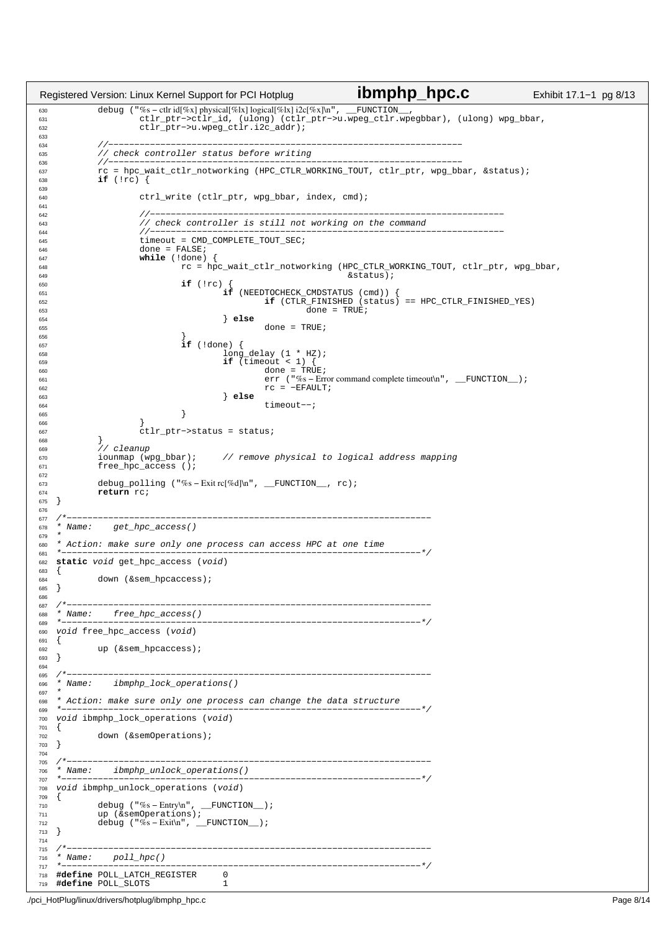debug ("%s − ctlr id[%x] physical[%lx] logical[%lx] i2c[%x]\n", \_\_FUNCTION\_\_, <sup>631</sup> ctlr\_ptr−>ctlr\_id, (ulong) (ctlr\_ptr−>u.wpeg\_ctlr.wpegbbar), (ulong) wpg\_bbar, ctlr\_ptr−>u.wpeg\_ctlr.i2c\_addr); //−−−−−−−−−−−−−−−−−−−−−−−−−−−−−−−−−−−−−−−−−−−−−−−−−−−−−−−−−−−−−−−−−−−− <sup>635</sup> // check controller status before writing //−−−−−−−−−−−−−−−−−−−−−−−−−−−−−−−−−−−−−−−−−−−−−−−−−−−−−−−−−−−−−−−−−−−− <sup>637</sup> rc = hpc\_wait\_ctlr\_notworking (HPC\_CTLR\_WORKING\_TOUT, ctlr\_ptr, wpg\_bbar, &status); **if** (!rc) { ctrl\_write (ctlr\_ptr, wpg\_bbar, index, cmd); 641<br>642 //−−−−−−−−−−−−−−−−−−−−−−−−−−−−−−−−−−−−−−−−−−−−−−−−−−−−−−−−−−−−−−−−−−−− <sup>643</sup> // check controller is still not working on the command //−−−−−−−−−−−−−−−−−−−−−−−−−−−−−−−−−−−−−−−−−−−−−−−−−−−−−−−−−−−−−−−−−−−− <sup>645</sup> timeout = CMD COMPLETE TOUT SEC; 646 done = FALSE;<br>646 done = FALSE;<br>647 while (!done) **the example of the value** (!done)  $r =$  $r$  rc = hpc\_wait\_ctlr\_notworking (HPC\_CTLR\_WORKING\_TOUT, ctlr\_ptr, wpg\_bbar,  $\&$  status);  $\begin{array}{ccc} 649 & & & \end{array}$ <br>650  $\begin{array}{ccc} \text{if } (1 \text{rc}) \end{array}$   $\begin{array}{ccc} \text{if } (1 \text{rc}) \end{array}$  **if** (!rc) { **if** (NEEDTOCHECK\_CMDSTATUS (cmd)) { <sup>652</sup> **if** (CTLR\_FINISHED (status) == HPC\_CTLR\_FINISHED\_YES)  $\frac{653}{654}$  done = TRUE; } **else** done = TRUE; }  $\text{if} \left( \text{!done} \right)$  { long\_delay (1 \* HZ); <sup>659</sup> **if** (timeout < 1) {  $\frac{660}{661}$  = TRUE; err ("%s – Error command complete timeout\n", \_FUNCTION\_);  $\begin{array}{ccc} 662 & & & & & \text{rc} = -\text{EFAULT}; \end{array}$  } **else** timeout−−; } } ctlr\_ptr−>status = status; } ,<br>// cleanup iounmap (wpg\_bbar); // remove physical to logical address mapping 670 free\_hpc\_access ();<br>671 free\_hpc\_access (); 673 debug\_polling ("%s-Exit rc[%d]\n", \_\_FUNCTION\_\_, rc);<br>674 **return** rc; return rc; } 677 /\*−−−−−−<br>678 \* Name: get\_hpc\_access()  $679 +$  \* Action: make sure only one process can access HPC at one time \*−−−−−−−−−−−−−−−−−−−−−−−−−−−−−−−−−−−−−−−−−−−−−−−−−−−−−−−−−−−−−−−−−−−−−\*/ **static** void get\_hpc\_access (void)  $683 \quad \{$ down (&sem\_hpcaccess); } /\*−−−−−−−−−−−−−−−−−−−−−−−−−−−−−−−−−−−−−−−−−−−−−−−−−−−−−−−−−−−−−−−−−−−−−−  $\begin{array}{cc} 688 & * & Name: & free\_hpc\_access() \\ 689 & *----- \end{array}$  \*−−−−−−−−−−−−−−−−−−−−−−−−−−−−−−−−−−−−−−−−−−−−−−−−−−−−−−−−−−−−−−−−−−−−−\*/ void free\_hpc\_access (void) {<br> $692$ up (&sem\_hpcaccess); } /\*−−−−−−−−−−−−−−−−−−−−−−−−−−−−−−−−−−−−−−−−−−−−−−−−−−−−−−−−−−−−−−−−−−−−−− \* Name: ibmphp\_lock\_operations() 697<br>698 \* Action: make sure only one process can change the data structure \*−−−−−−−−−−−−−−−−−−−−−−−−−−−−−−−−−−−−−−−−−−−−−−−−−−−−−−−−−−−−−−−−−−−−−\*/ void ibmphp\_lock\_operations (void) {<br> $702$ down (&semOperations);  $\begin{matrix} 702 \\ 703 \end{matrix}$  /\*−−−−−−−−−−−−−−−−−−−−−−−−−−−−−−−−−−−−−−−−−−−−−−−−−−−−−−−−−−−−−−−−−−−−−− \* Name: ibmphp\_unlock\_operations() \*−−−−−−−−−−−−−−−−−−−−−−−−−−−−−−−−−−−−−−−−−−−−−−−−−−−−−−−−−−−−−−−−−−−−−\*/ void ibmphp\_unlock\_operations (void) {<br> $710$ 710 debug ("%s-Entry\n", \_\_FUNCTION\_\_);<br>711 up (&semOperations); debug ("%s − Exit\n", \_\_FUNCTION\_);  $\}$  /\*−−−−−−−−−−−−−−−−−−−−−−−−−−−−−−−−−−−−−−−−−−−−−−−−−−−−−−−−−−−−−−−−−−−−−− 716 \* Name: poll\_hpc()<br>717 \*-------------------- \*−−−−−−−−−−−−−−−−−−−−−−−−−−−−−−−−−−−−−−−−−−−−−−−−−−−−−−−−−−−−−−−−−−−−−\*/ **#define** POLL\_LATCH\_REGISTER 0 **#define** POLL\_SLOTS 1 Registered Version: Linux Kernel Support for PCI Hotplug **ibmphp\_hpc.c** Exhibit 17.1−1 pg 8/13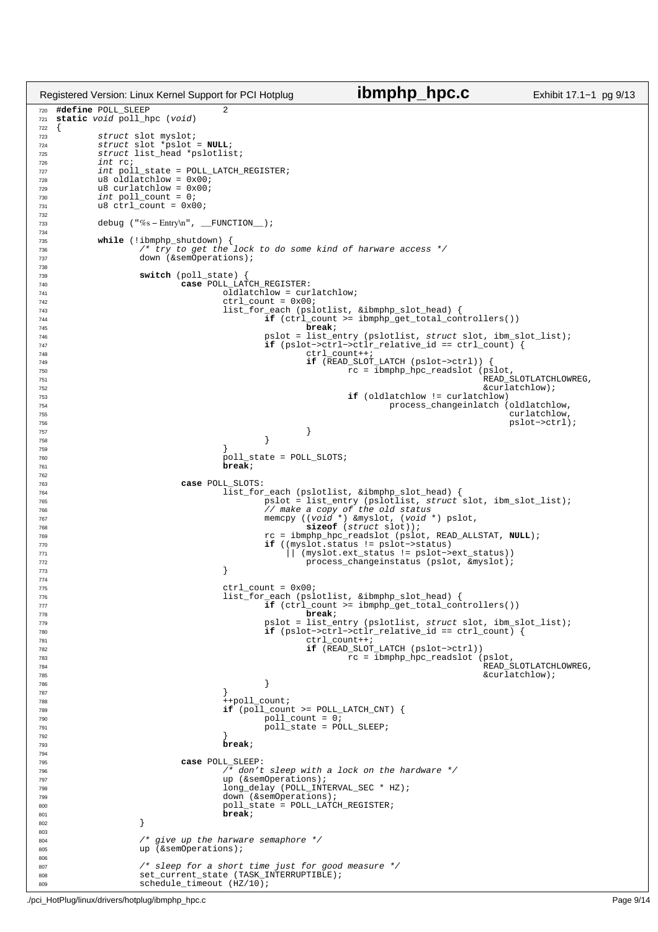```
720 #define POLL_SLEEP 2
721 static void poll_hpc (void)
\begin{array}{c} 722 \\ 723 \end{array}struct slot myslot;
724 struct slot *pslot = NULL;
725 struct list_head *pslotlist;
726 int rc;<br>727 int pol
<sup>11</sup> <sup>11</sup> int poll_state = POLL_LATCH_REGISTER;<br>728 d8 oldlatchlow = 0x00;
728 u8 oldlatchlow = 0 \times 00;<br>729 u8 curlatchlow = 0 \times 00;
729 u8 curlatchlow = 0 \times 00;<br>730 int poll count = 0;
730 int poll_count = 0;
731 u8 ctrl_count = 0x00;
732
733 debug ("%s − Entry\n", __FUNCTION__);
734
735 while (!ibmphp_shutdown) {<br>736 /* try to get the lock to do some kind of harware access */
737 down (&semOperations);
738
739 switch (poll_state) {
740 case POLL_LATCH_REGISTER:
741 742 742 742 742 742 742 742742<br>
\text{ctrl\_count} = 0 \times 00;<br>
743<br>
\text{list\_for\_each (ps]}743 list_for_each (pslotlist, &ibmphp_slot_head) {
744 if (ctrl_count >= ibmphp_get_total_controllers())
745 break;
746 pslot = list_entry (pslotlist, struct slot, ibm_slot_list);<br>
if (pslot->ctrl->ctlr_relative_id == ctrl_count) {
                                       if (pslot->ctrl->ctlr_relative_id == ctrl_count) {<br>dif (pslot->ctrl->ctlr_relative_id == ctrl_count) {
748 ctrl_count++;<br>
749 f (READ SLOT)
749 if (READ_SLOT_LATCH (pslot−>ctrl)) {
750 rc = ibmphp_hpc_readslot (pslot,
\frac{1}{100} \frac{1}{100} \frac{1}{100} \frac{1}{100} \frac{1}{100} \frac{1}{100} \frac{1}{100} \frac{1}{100} \frac{1}{100} \frac{1}{100} \frac{1}{100} \frac{1}{100} \frac{1}{100} \frac{1}{100} \frac{1}{100} \frac{1}{100} \frac{1}{100} \frac{1}{100} \frac{1\begin{array}{ccc} 752 & & & \text{for } 72 \\ 752 & & & \text{for } 72 \\ 753 & & & \text{for } 72 \end{array}753 if (oldlatchlow != curlatchlow)
<sup>754</sup> process_changeinlatch (oldlatchlow,<br><sup>755</sup> curlatchlow,
755 curlatchlow,
756 pslot−>ctrl);
757758759 }
760 761 poll_state = POLL_SLOTS;<br>761\bar{b}reak;
762
763 case POLL_SLOTS:
764<br>
765 pslot = list_entry (pslotlist, struct slot, ibm_slot_list);<br>
766 pslot = list_entry (pslotlist, struct slot, ibm_slot_list);<br>
767 memcpy ((void *) &myslot, (void *) pslot,
768 sizeof (struct slot));
769 rc = ibmphp_hpc_readslot (pslot, READ_ALLSTAT, NULL);
770 if ((myslot.status != pslot−>status)
771 || (myslot.ext_status != pslot−>ext_status))
Tre process_changeinstatus (pslot, \overline{\text{cm}});<br>
Tra
773 }
774
775 ctrl_count = 0x00;<br>776 ctrl_count = 0x00;<br>1ist for each (psl
776 list_for_each (pslotlist, &ibmphp_slot_head) {<br>11 (ctrl_count >= ibmphp_get_total_con
\frac{1}{\textbf{if}} (ctrl_count >= ibmphp_get_total_controllers())
778 break;
779 pslot = list_entry (pslotlist, struct slot, ibm_slot_list);
780 if (pslot−>ctrl−>ctlr_relative_id == ctrl_count) {
781 ctrl_count++;<br>782 if (READ SLOT
782 if (READ_SLOT_LATCH (pslot−>ctrl))
                                                     rc = ibmphp_hpc_readslot (pslot,
784 READ_SLOTLATCHLOWREG,
785 &curlatchlow);
786787788 ++poll_count;
789 if (poll_count >= POLL_LATCH_CNT) {
790 poll_count = 0;
791 poll_state = POLL_SLEEP;
792 }
793 break;
794
795 case POLL_SLEEP:
\overline{r} and \overline{r} don't sleep with a lock on the hardware \overline{r} \overline{r} and \overline{r} (&semOperations);
797 up (&semOperations);<br>long delay (POLL INT
798 long_delay (POLL_INTERVAL_SEC * HZ);
799 down (&semOperations);
800 poll_state = POLL_LATCH_REGISTER;
\frac{801}{802} break;
802 }
803
804 /* give up the harware semaphore */
805 up (&semOperations);
806
807 \frac{1}{3} /* sleep for a short time just for good measure */<br>808 Set current state (TASK INTERRIDTIBLE);
                 set_current_state (TASK_INTERRUPTIBLE);
809 schedule_timeout (HZ/10);
Registered Version: Linux Kernel Support for PCI Hotplug ibmphp_hpc.c Exhibit 17.1−1 pg 9/13
```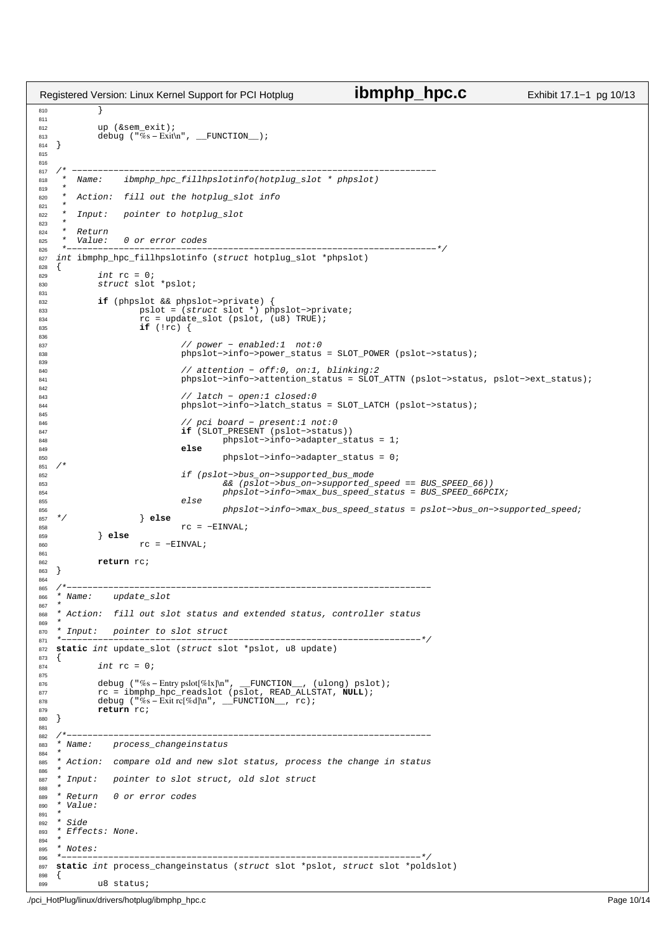```
810 }
811
812 up (&sem_exit);<br>813 debug ("%s-Exit")
             debug (\sqrt[m]{8} s - \text{Exit}\ \text{m}", __FUNCTION__);
814 }
815
816
817 /* −−−−−−−−−−−−−−−−−−−−−−−−−−−−−−−−−−−−−−−−−−−−−−−−−−−−−−−−−−−−−−−−−−−−−−
818 * Name: ibmphp_hpc_fillhpslotinfo(hotplug_slot * phpslot)
819<br>820
        Action: fill out the hotplug_slot info
821<br>822
        Input: pointer to hotplug_slot
823P_{\theta}turn
825 * Value: 0 or error codes
826 *−−−−−−−−−−−−−−−−−−−−−−−−−−−−−−−−−−−−−−−−−−−−−−−−−−−−−−−−−−−−−−−−−−−−−−−*/
827 int ibmphp_hpc_fillhpslotinfo (struct hotplug_slot *phpslot)<br>828 {
828<br>829
829 int rc = 0;
830 struct slot *pslot;
831
832 if (phpslot && phpslot->private) {<br>833 if pslot = (struct slot *) ph
833 pslot = (struct slot *) phpslot−>private;
834 rc = update_slot (pslot, (u8) TRUE);
835 if (!rc) {
836
837 // power − enabled:1 not:0
838 phpslot−>info−>power_status = SLOT_POWER (pslot−>status);
839
840 // attention − off:0, on:1, blinking:2
841 phpslot−>info−>attention_status = SLOT_ATTN (pslot−>status, pslot−>ext_status);
842<br>843
843 // latch − open:1 closed:0<br>
phpslot->info->latch status
                               844 phpslot−>info−>latch_status = SLOT_LATCH (pslot−>status);
845
846 // pci board − present:1 not:0
847 if (SLOT_PRESENT (pslot−>status))
848 phpslot−>info−>adapter_status = 1;
849 else
850 phpslot−>info−>adapter_status = 0;
   /*
852 if (pslot->bus_on−>supported_bus_mode<br>853 a& (pslot->bus_on->supported_
853 653 && (pslot−>bus_on->supported_speed == BUS_SPEED_66))<br>B54 phpslot->info->max bus speed status = BUS SPEED 66PC
                                        854 phpslot−>info−>max_bus_speed_status = BUS_SPEED_66PCIX;
855 else
856 phpslot−>info->max_bus_speed_status = pslot->bus_on->supported_speed;<br>857 */
857 */ } else
rac{858}{858} rc = −EINVAL;
             859 } else
\text{rec} = -\text{EINVAL};
861<br>862
             return rc;
863 }
864
865 /*−−−−−−−−−−−−−−−−−−−−−−−−−−−−−−−−−−−−−−−−−−−−−−−−−−−−−−−−−−−−−−−−−−−−−−
866 * Name: update_slot
867 *<br>868 *
     Action: fill out slot status and extended status, controller status
869
870 * Input: pointer to slot struct
871 *−−−−−−−−−−−−−−−−−−−−−−−−−−−−−−−−−−−−−−−−−−−−−−−−−−−−−−−−−−−−−−−−−−−−−*/
   static int update_slot (struct slot *pslot, u8 update) {
873 {
874 int rc = 0;
875
876 debug ("%s-Entry pslot[%lx]\n", __FUNCTION__, (ulong) pslot);<br>877 c = ibmphp hpc readslot (pslot, READ ALLSTAT, NULL);
877 rc = ibmphp_hpc_readslot (pslot, READ_ALLSTAT, NULL);<br>878 debug ("%s-Exit rc[%d]\n", __FUNCTION__, rc);
878 debug ("%s − Exit rc[%d]\n", __FUNCTION__, rc);<br>s79 return rc;
             879 return rc;
880 }
881
<sup>001</sup><br>882 /*−−−−−−<br>883 * Name:
               process_changeinstatus
884 *
885 * Action: compare old and new slot status, process the change in status
886<br>887
   887 * Input: pointer to slot struct, old slot struct
888 *<br>889 * Return
889 * Return 0 or error codes<br>890 * Value:
   * Value:
891<br>892
892 * Side<br>893 * Effe
   * Effects: None.
894
895 * Notes:<br>896 * --- ---896 *−−−−−−−−−−−−−−−−−−−−−−−−−−−−−−−−−−−−−−−−−−−−−−−−−−−−−−−−−−−−−−−−−−−−−*/
897 static int process_changeinstatus (struct slot *pslot, struct slot *poldslot)
898 {
899 u8 status;
Registered Version: Linux Kernel Support for PCI Hotplug ibmphp_hpc.c Exhibit 17.1−1 pg 10/13
```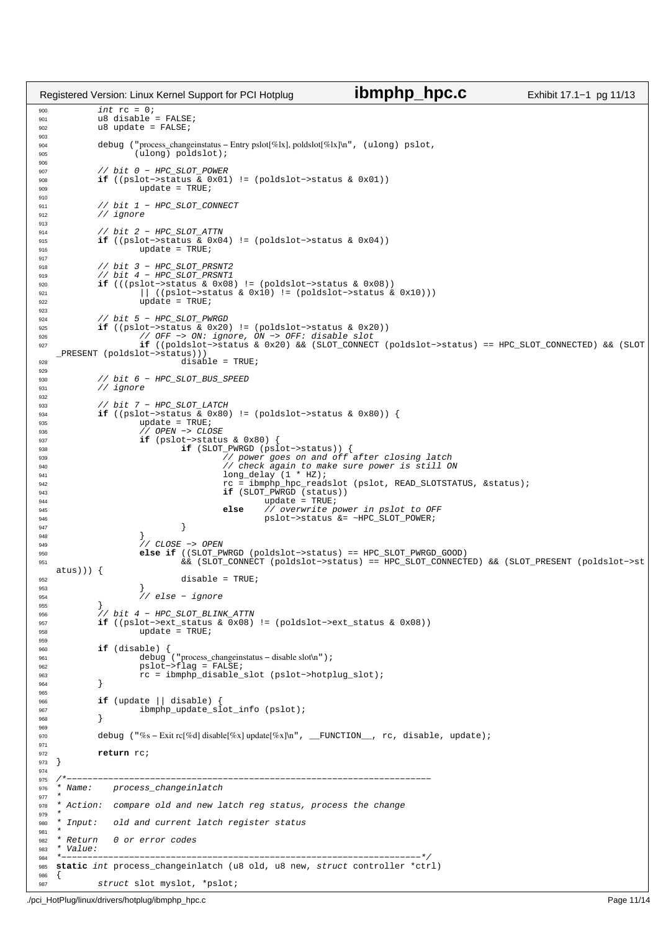int rc = 0; <sup>901</sup> u8 disable = FALSE;  $\frac{302}{902}$  u8 update = FALSE; <sup>904</sup> debug ("process\_changeinstatus − Entry pslot[%lx], poldslot[%lx]\n", (ulong) pslot, (ulong) poldslot); 907 // bit 0 − HPC\_SLOT\_POWER<br>908 **if** ((pslot->status & 0x01) **if** ((pslot−>status & 0x01) != (poldslot−>status & 0x01))  $update = TRUFE;$  // bit 1 − HPC\_SLOT\_CONNECT <sup>912</sup> // ignore // bit 2 − HPC\_SLOT\_ATTN <sup>915</sup> **if** ((pslot−>status & 0x04) != (poldslot−>status & 0x04)) <sup>916</sup> update = TRUE; 918 // bit 3 - HPC\_SLOT\_PRSNT2 919  $\frac{1}{2}$  // bit 4 − HPC\_SLOT\_PRSNT1 **if** (((pslot−>status & 0x08) != (poldslot−>status & 0x08)) 921  $\vert$  ((pslot−>status & 0x10) != (poldslot−>status & 0x10)))<br>922 update = TRUE;  $update = TRUE;$  // bit 5 − HPC\_SLOT\_PWRGD **if** ((pslot−>status & 0x20) != (poldslot−>status & 0x20)) <sup>926</sup> // OFF −> ON: ignore, ON −> OFF: disable slot **if** ((poldslot−>status & 0x20) && (SLOT\_CONNECT (poldslot−>status) == HPC\_SLOT\_CONNECTED) && (SLOT \_PRESENT (poldslot−>status)))  $\frac{1}{\sqrt{1-\frac{1}{\sqrt{1-\frac{1}{\sqrt{1-\frac{1}{\sqrt{1-\frac{1}{\sqrt{1-\frac{1}{\sqrt{1-\frac{1}{\sqrt{1-\frac{1}{\sqrt{1-\frac{1}{\sqrt{1-\frac{1}{\sqrt{1-\frac{1}{\sqrt{1-\frac{1}{\sqrt{1-\frac{1}{\sqrt{1-\frac{1}{\sqrt{1-\frac{1}{\sqrt{1-\frac{1}{\sqrt{1-\frac{1}{\sqrt{1-\frac{1}{\sqrt{1-\frac{1}{\sqrt{1-\frac{1}{\sqrt{1-\frac{1}{\sqrt{1-\frac{1}{\sqrt{1-\frac{1}{\sqrt{1-\frac{1}{\sqrt{1-\frac{1$  // bit 6 − HPC\_SLOT\_BUS\_SPEED <sup>931</sup> // ignore // bit 7 − HPC\_SLOT\_LATCH <sup>934</sup> **if** ((pslot−>status & 0x80) != (poldslot−>status & 0x80)) { 935  $\text{update} = \text{TRUE};$ <br>
936  $\text{/} / \text{OPEN} \rightarrow \text{CLO}$ 936 *// OPEN* −> CLOSE<br>937 **if** (ps1ot->statu 937 **if** (pslot->status & 0x80) {<br>938 **if** (SLOT\_PWRGD (pslot−>status)) {<br>939 *// power goes on and off after closing latch*<br>*// check again to make sure power is still ON*  long\_delay (1 \* HZ); <sup>942</sup> rc = ibmphp\_hpc\_readslot (pslot, READ\_SLOTSTATUS, &status); **if** (SLOT\_PWRGD (status)) <sup>944</sup> update = TRUE; **else** // overwrite power in pslot to OFF 946 pslot−>status &= ~HPC\_SLOT\_POWER;<br>947 pslot−>status &= ~HPC\_SLOT\_POWER; } } // CLOSE −> OPEN **else if** ((SLOT\_PWRGD (poldslot−>status) == HPC\_SLOT\_PWRGD\_GOOD) && (SLOT\_CONNECT (poldslot−>status) == HPC\_SLOT\_CONNECTED) && (SLOT\_PRESENT (poldslot−>st atus))) {  $\frac{1}{952}$  disable = TRUE; } // else − ignore 955<br>956 956 // bit 4 − HPC\_SLOT\_BLINK\_ATTN<br>957 **if** ((pslot->ext status & 0x08) **if** ((pslot−>ext\_status & 0x08) != (poldslot−>ext\_status & 0x08)) 958 update = TRUE; **if** (disable) { debug ("process\_changeinstatus − disable slot\n"); pslot−>flag = FALSE; <sup>963</sup> rc = ibmphp\_disable\_slot (pslot−>hotplug\_slot); } **if** (update || disable) { <sup>967</sup> ibmphp\_update\_slot\_info (pslot); } debug ("%s − Exit rc[%d] disable[%x] update[%x]\n", \_\_FUNCTION\_\_, rc, disable, update); **return** rc; } /\*−−−−−−−−−−−−−−−−−−−−−−−−−−−−−−−−−−−−−−−−−−−−−−−−−−−−−−−−−−−−−−−−−−−−−− process changeinlatch  $977 +$ 978 \* Action: compare old and new latch reg status, process the change 979<br>980 \* Input: old and current latch register status 981  $*$  $R$ eturn  $\theta$  or error codes 983 \* Value:<br>984 \*------ \*−−−−−−−−−−−−−−−−−−−−−−−−−−−−−−−−−−−−−−−−−−−−−−−−−−−−−−−−−−−−−−−−−−−−−\*/ <sup>985</sup> **static** int process\_changeinlatch (u8 old, u8 new, struct controller \*ctrl) { struct slot myslot, \*pslot; Registered Version: Linux Kernel Support for PCI Hotplug **ibmphp\_hpc.c** Exhibit 17.1−1 pg 11/13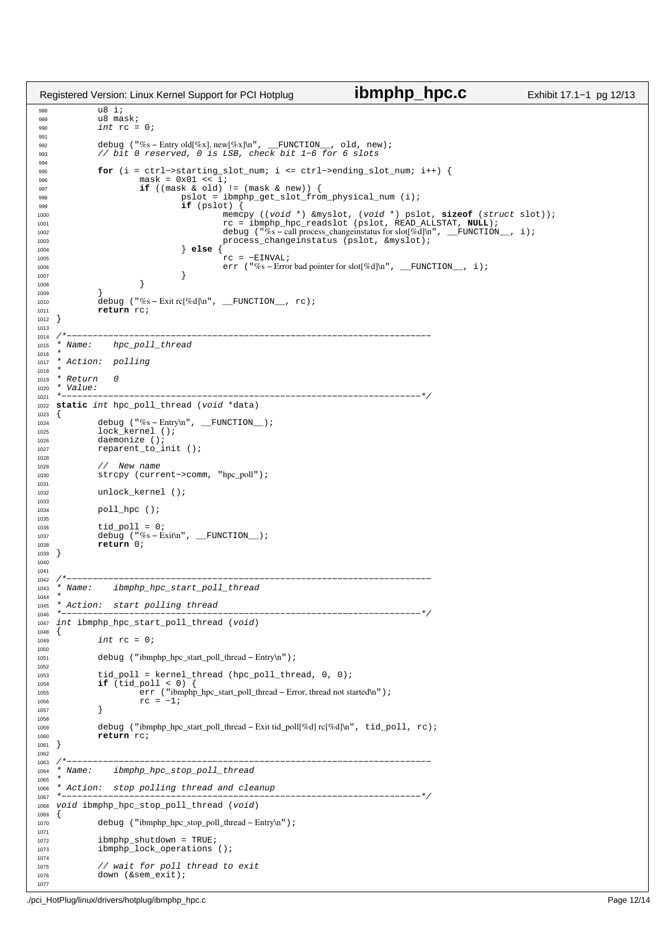```
988 \frac{1}{18} \frac{1}{18} \frac{1}{18} \frac{1}{18} \frac{1}{18} \frac{1}{18} \frac{1}{18} \frac{1}{18} \frac{1}{18} \frac{1}{18} \frac{1}{18} \frac{1}{18} \frac{1}{18} \frac{1}{18} \frac{1}{18} \frac{1}{18} \frac{1}{18} \frac{1}{18} \frac{1}{18} \frac{1}{18989 u8 mask;<br>990 int rc =
              int rc = 0;
991
992 debug ("%s − Entry old[%x], new[%x]\n", __FUNCTION__, old, new);
993 // bit 0 reserved, 0 is LSB, check bit 1−6 for 6 slots
994
995 for (i = ctrl−>starting_slot_num; i <= ctrl->ending_slot_num; i++) {<br>996 mask = 0x01 << i;
996 mask = 0 \times 01 \lt \ 997 if (\text{mask } \& 01)997 if ((mask & old) != (mask & new)) {
998 pslot = ibmphp_get_slot_from_physical_num (i);
999 if (pslot) {
1000 memcpy ((void *) &myslot, (void *) pslot, sizeof (struct slot));<br>2001 rc = ibmphp_hpc_readslot (pslot, READ_ALLSTAT, NULL);<br>2002 debug ("%s-call process_changeinstatus for slot[%d]\n", __FUNCTION_, i);
1003 process_changeinstatus (pslot, &myslot);
1004 else {<br>1004 else {
1005<br>
1006 err ("%s – Error bad pointer for slot[%d]\n", __FUNCTION__, i);
1007 }
1008 }
1009<br>1010
1010 debug ("%s – Exit rc[%d]\n", __FUNCTION__, rc);<br>1011 return rc;
              return rc;
1012 }
1013
1014 /*−−−−−−−−−−−−−−−−−−−−−−−−−−−−−−−−−−−−−−−−−−−−−−−−−−−−−−−−−−−−−−−−−−−−−−
1015 * Name: hpc_poll_thread
1016<br>1017
   * Action: polling
1018<br>1019
   * Return 0
1020 * Value:<br>1021 * --- ---1021 *−−−−−−−−−−−−−−−−−−−−−−−−−−−−−−−−−−−−−−−−−−−−−−−−−−−−−−−−−−−−−−−−−−−−−*/
   static int hpc_poll_thread (void *data)<br>{
1023 {
1024 debug ("%s-Entry\n", __FUNCTION__);<br>
1025 lock_kernel ();
1026 daemonize ();<br>1027 reparent to i
              reparent_to_init ();
1028
1029 // New name
1030 strcpy (current−>comm, "hpc_poll");
1031
1032 unlock_kernel ();
1033
1034 poll_hpc ();
1035<br>1036
1036 tid_poll = 0;
1037 debug ("%s − Exit\n", __FUNCTION__);
1038 return 0;
1039 }
1040
1041<br>1042 /*
    1042 /*−−−−−−−−−−−−−−−−−−−−−−−−−−−−−−−−−−−−−−−−−−−−−−−−−−−−−−−−−−−−−−−−−−−−−−
1043 * Name: ibmphp_hpc_start_poll_thread
1044
1045 * Action: start polling thread<br>1046 *------------------------------
1046 *−−−−−−−−−−−−−−−−−−−−−−−−−−−−−−−−−−−−−−−−−−−−−−−−−−−−−−−−−−−−−−−−−−−−−*/
    int ibmphp_hpc_start_poll_thread (void)
1048 \quad \{1049 int rc = 0;
1050<br>1051
              1051 debug ("ibmphp_hpc_start_poll_thread − Entry\n");
1052
1053 tid_poll = kernel_thread (hpc_poll_thread, 0, 0);
1054 if (tid_poll < 0)<br>1055 err ("ibmn
1055 err ("ibmphp_hpc_start_poll_thread – Error, thread not started\n");<br>TC = -1;
              rc = -1;1057 }
1058
1059 debug ("ibmphp_hpc_start_poll_thread – Exit tid_poll[%d] rc[%d]\n", tid_poll, rc);<br>1060 return rc;
              return rc;
1061 }
1062
1063 /*−−−−−−−−−−−−−−−−−−−−−−−−−−−−−−−−−−−−−−−−−−−−−−−−−−−−−−−−−−−−−−−−−−−−−−
1064 * Name: ibmphp_hpc_stop_poll_thread
1065<br>1066
   * Action: stop polling thread and cleanup
1067 *−−−−−−−−−−−−−−−−−−−−−−−−−−−−−−−−−−−−−−−−−−−−−−−−−−−−−−−−−−−−−−−−−−−−−*/
    void ibmphp_hpc_stop_poll_thread (void)
1069 \{<br>10701070 debug ("ibmphp_hpc_stop_poll_thread − Entry\n");
1071
1072 ibmphp_shutdown = TRUE;
1073 ibmphplock_operations ();
1074
1075 // wait for poll thread to exit
              down (&sem_exit);
1077
Registered Version: Linux Kernel Support for PCI Hotplug ibmphp_hpc.c Exhibit 17.1−1 pg 12/13
```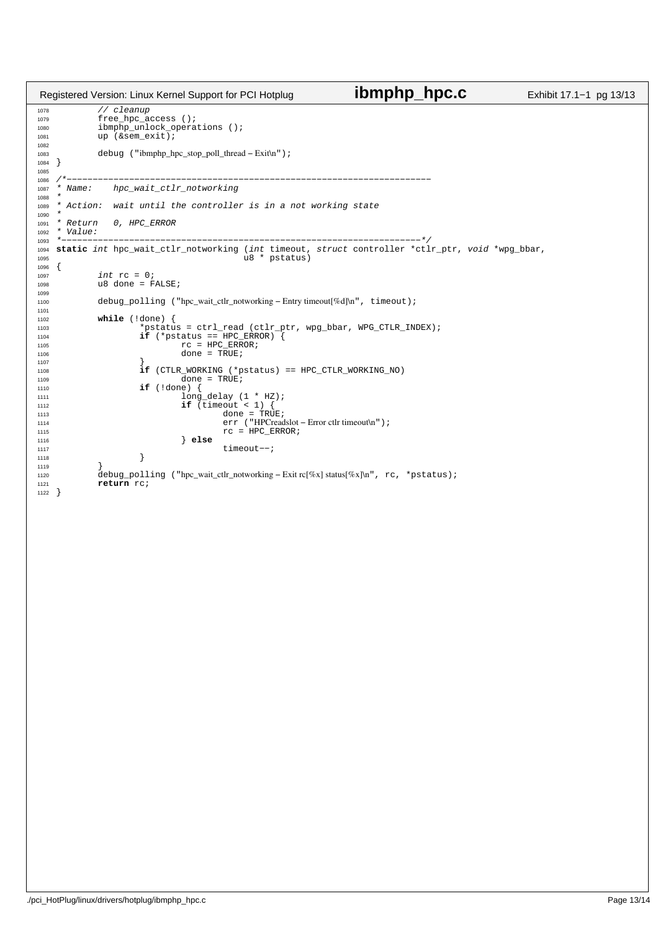```
1078 // cleanup
1079 free_hpc_access ();
1080 ibmphp_unlock_operations ();<br>1081 1081 up (&sem_exit);
             up (ssem_exit);
1082
1083 debug ("ibmphp_hpc_stop_poll_thread − Exit\n");
1084 }
1085
1086 /*−−−−−−−−−−−−−−−−−−−−−−−−−−−−−−−−−−−−−−−−−−−−−−−−−−−−−−−−−−−−−−−−−−−−−−
             hpc_wait_ctlr_notworking
1088 *
1089 * Action: wait until the controller is in a not working state
1090 *<br>1091 * Return
1091 * Return 0, HPC\_ERROR<br>1092 * Value:
   * Value:<br>* --------
1093 *−−−−−−−−−−−−−−−−−−−−−−−−−−−−−−−−−−−−−−−−−−−−−−−−−−−−−−−−−−−−−−−−−−−−−*/
1094 static int hpc_wait_ctlr_notworking (int timeout, struct controller *ctlr_ptr, void *wpg_bbar,
1095 u8 * pstatus)
1096 {
1097 101 int rc = 0;<br>
1098 108 done = FALSE;
1099
1100 debug_polling ("hpc_wait_ctlr_notworking − Entry timeout[%d]\n", timeout);
1101
1102 while (!done) {
1103 *pstatus = ctrl_read (ctlr_ptr, wpg_bbar, WPG_CTLR_INDEX);
1104 if (*pstatus == HPC_ERROR) {
1105 TC = \text{HPC\_EROR};<br>
1106 TC = \text{HPC\_EROR};<br>
1106 \text{done} = \text{TRUE};1106 \text{done} = \text{TRUE};1107 \Big\}1108 if (CTLR_WORKING (*pstatus) == HPC_CTLR_WORKING_NO)<br>1109 done = TRUE;
1109<br>
1109<br>
1110<br>
1110<br>
1if \{ldone\} \{1110 if (!done) {
1111 long_delay (1 * HZ);
if (timeout < 1) {<br>
done = TRUE;
1114 err ("HPCreadslot − Error ctlr timeout\n");<br>
rc = HPC\_ERROR;1115 TC = \text{HPC\_ERROR};<br>
1116 \} else
1116 else
                      1111 timeout−−;<br>}
1118 \Big\}1119 }
1120 debug_polling ("hpc_wait_ctlr_notworking − Exit rc[%x] status[%x]\n", rc, *pstatus);
             return rc;
1122 }
Registered Version: Linux Kernel Support for PCI Hotplug ibmphp_hpc.c Exhibit 17.1−1 pg 13/13
```